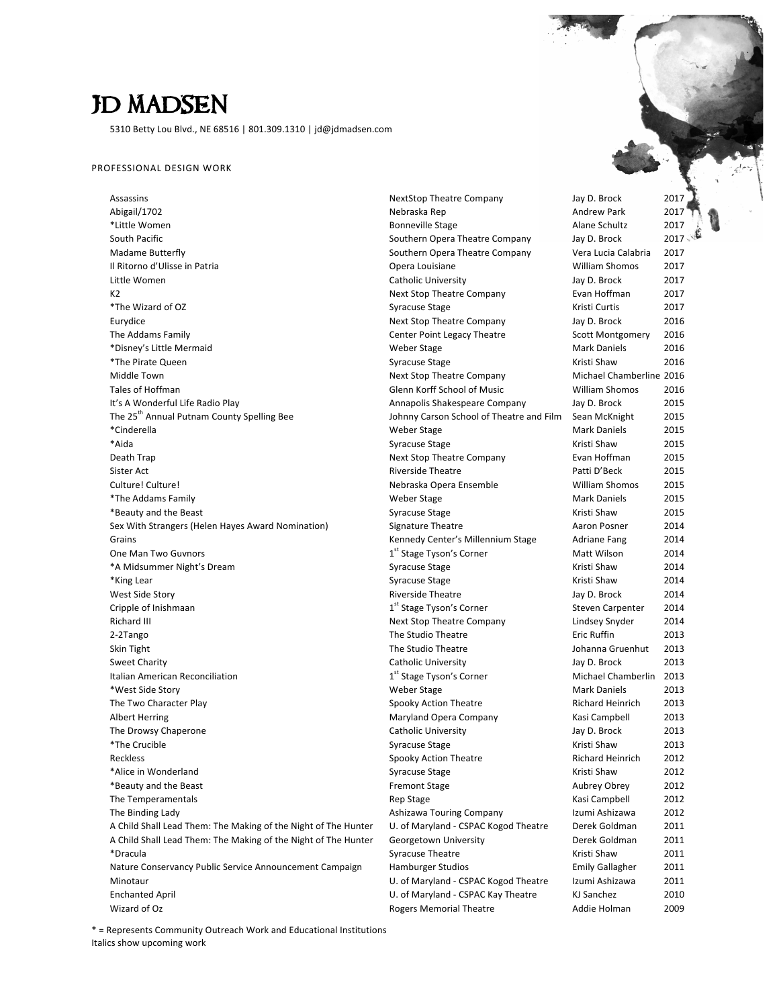# JD MADSEN

5310 Betty Lou Blvd., NE 68516 | 801.309.1310 | jd@jdmadsen.com

#### PROFESSIONAL DESIGN WORK

Assassins **Assassins NextStop Theatre Company** Jay D. Brock 2017 Abigail/1702 Nebraska Rep Andrew Park 2017 \*Little Women Bonneville Stage Alane Schultz 2017 South Pacific **Southern Opera Theatre Company** Jay D. Brock 2017 Madame Butterfly **Southern** Opera Theatre Company Vera Lucia Calabria 2017 Il Ritorno d'Ulisse in Patria **Calculation** Community Community Opera Louisiane **Calculation** William Shomos 2017 Little Women **Catholic University** Catholic University **Jay D. Brock** 2017 K2 **Next Stop Theatre Company** Evan Hoffman 2017 \*The Wizard of OZ Syracuse Stage Kristi Curtis 2017 Eurydice **Next Stop Theatre Company** Jay D. Brock 2016 The Addams Family **The Addams** Family Center Point Legacy Theatre Scott Montgomery 2016 \*Disney's Little Mermaid Weber Stage Mark Daniels 2016 \*The Pirate Queen November 2016 Syracuse Stage Stage Stage State Strate (State Stage Stage Stage Stage Stage Stage Stage Stage Stage Stage Stage Stage Stage Stage Stage Stage Stage Stage Stage Stage Stage Stage Stage Stage Middle Town **Next Stop Theatre Company** Mexicompany Michael Chamberline 2016 Tales of Hoffman **Glennal Clennal Clennal Clennal Clennal Clennal Clennal Clennal Clennal Clennal Clennal Clenna**<br>
Glenn Korff School of Music Clennal Clennal Clennal Clennal Clennal Clennal Clennal Clennal Clennal Clennal It's A Wonderful Life Radio Play Annapolis Shakespeare Company Jay D. Brock 2015 The 25<sup>th</sup> Annual Putnam County Spelling Bee Johnny Carson School of Theatre and Film Sean McKnight 2015 \*Cinderella Weber Stage Mark Daniels 2015 \*Aida Syracuse Stage Kristi Shaw 2015 Death Trap **Next Stop Theatre Company** Evan Hoffman 2015 Sister Act and the Community of the Riverside Theatre Patti D'Beck 2015 Culture! Culture! Culture! Culture! Culture! Nebraska Opera Ensemble Culture! Culture! 2015 \*The Addams Family Weber Stage Mark Daniels 2015 \*Beauty and the Beast Syracuse Stage Kristi Shaw 2015 Sex With Strangers (Helen Hayes Award Nomination) Signature Theatre Annument Construction Posner 2014 Grains **Communist Communist Communist Communist Communist Communist Communist Communist Communist Communist Communist Communist Communist Communist Communist Communist Communist Communist Communist Communist Communist Comm** One Man Two Guvnors \*A Midsummer Night's Dream **Syracuse** Stage Stage Stage Stage Stage Stage Stage Stage Stage Stage Stage Stage Stage Stage Stage Stage Stage Stage Stage Stage Stage Stage Stage Stage Stage Stage Stage Stage Stage Stage Stag \*King Lear Syracuse Stage Stage Stage Stage Strate Stage Stage Stage Stage Stage Stage Stage Stage Stage Stage Stage Stage Stage Stage Stage Stage Stage Stage Stage Stage Stage Stage Stage Stage Stage Stage Stage Stage Sta West Side Story **Music Community Community** Riverside Theatre *Jay D. Brock* 2014 Cripple of Inishmaan Richard III **Next** Stop Theatre Company Lindsey Snyder 2014 2-2Tango 2013 **The Studio Theatre The Studio Theatre Eric Ruffin** 2013 Skin Tight The Studio The Studio Theatre The Studio Theatre Johanna Gruenhut 2013 Sweet Charity **Catholic University** Jay D. Brock 2013 Italian American Reconciliation \*West Side Story Weber Stage Mark Daniels 2013 The Two Character Play Spooky Action Theatre Richard Heinrich 2013 Albert Herring **Maryland Opera Company** Kasi Campbell 2013 The Drowsy Chaperone and the Catholic University and Hay D. Brock 2013 \*The Crucible Syracuse Stage Kristi Shaw 2013 Reckless **Spooky Action Theatre** Spooky Action Theatre **Richard Heinrich** 2012 \*Alice in Wonderland 2012 Controller Controller Syracuse Stage Controller Syracuse Stage Controller Kristi Shaw 2012 \*Beauty and the Beast Fremont Stage Aubrey Obrey 2012 The Temperamentals and the Campbell and Temperamentals Rep Stage Campbell and Temperamentals and the Campbell 2012 The Binding Lady **Ashizawa Touring Company** Izumi Ashizawa 2012 A Child Shall Lead Them: The Making of the Night of The Hunter U. of Maryland - CSPAC Kogod Theatre Derek Goldman 2011 A Child Shall Lead Them: The Making of the Night of The Hunter Georgetown University Derek Goldman 2011 \*Dracula Syracuse Theatre Kristi Shaw 2011 Nature Conservancy Public Service Announcement Campaign Hamburger Studios Franch Hamburger Studios Emily Gallagher 2011 Minotaur Minotaur Museum Communication CSPAC Kogod Theatre Izumi Ashizawa 2011 Enchanted April **Enchanted** April 2010 **CEPAC Maryland - CSPAC Kay Theatre** KJ Sanchez 2010 Wizard of Oz **Mullet Community Community** Rogers Memorial Theatre **Addie** Holman 2009

1<sup>st</sup> Stage Tyson's Corner **Matt Wilson** 2014 1<sup>st</sup> Stage Tyson's Corner Steven Carpenter 2014 1<sup>st</sup> Stage Tyson's Corner **Michael Chamberlin** 2013

\* = Represents Community Outreach Work and Educational Institutions Italics show upcoming work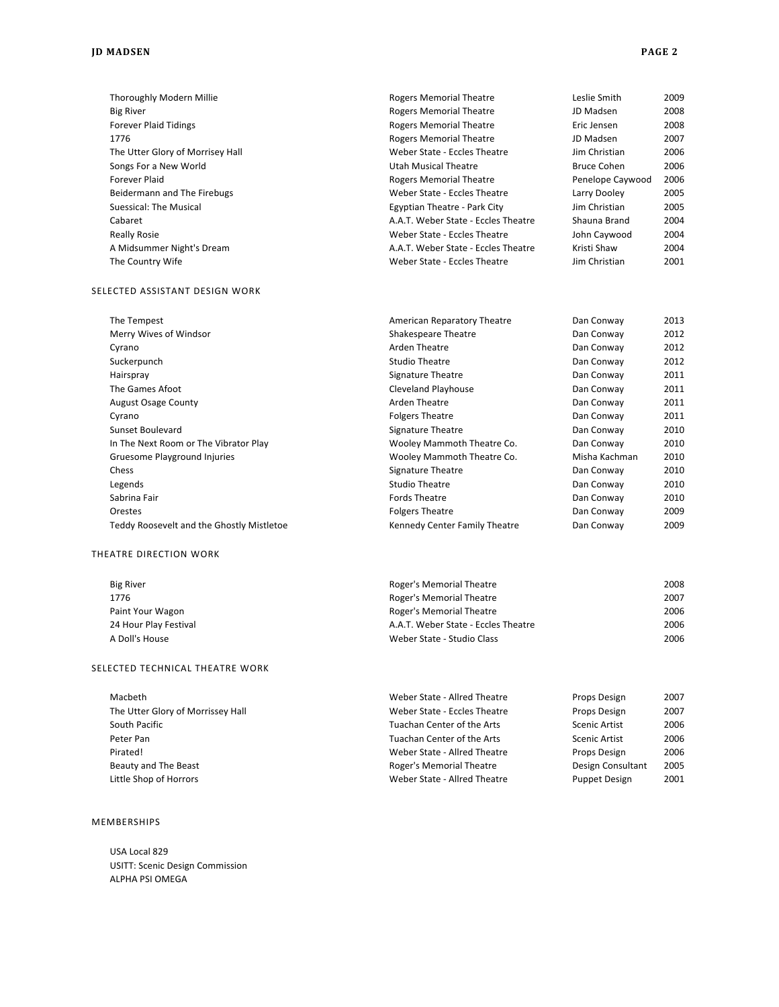| Thoroughly Modern Millie                  | <b>Rogers Memorial Theatre</b>      | Leslie Smith       | 2009 |
|-------------------------------------------|-------------------------------------|--------------------|------|
| <b>Big River</b>                          | <b>Rogers Memorial Theatre</b>      | JD Madsen          | 2008 |
| <b>Forever Plaid Tidings</b>              | <b>Rogers Memorial Theatre</b>      | Eric Jensen        | 2008 |
| 1776                                      | <b>Rogers Memorial Theatre</b>      | JD Madsen          | 2007 |
| The Utter Glory of Morrisey Hall          | Weber State - Eccles Theatre        | Jim Christian      | 2006 |
| Songs For a New World                     | <b>Utah Musical Theatre</b>         | <b>Bruce Cohen</b> | 2006 |
| <b>Forever Plaid</b>                      | <b>Rogers Memorial Theatre</b>      | Penelope Caywood   | 2006 |
| Beidermann and The Firebugs               | Weber State - Eccles Theatre        | Larry Dooley       | 2005 |
| <b>Suessical: The Musical</b>             | Egyptian Theatre - Park City        | Jim Christian      | 2005 |
| Cabaret                                   | A.A.T. Weber State - Eccles Theatre | Shauna Brand       | 2004 |
| <b>Really Rosie</b>                       | Weber State - Eccles Theatre        | John Caywood       | 2004 |
| A Midsummer Night's Dream                 | A.A.T. Weber State - Eccles Theatre | Kristi Shaw        | 2004 |
| The Country Wife                          | Weber State - Eccles Theatre        | Jim Christian      | 2001 |
| SELECTED ASSISTANT DESIGN WORK            |                                     |                    |      |
| The Tempest                               | American Reparatory Theatre         | Dan Conway         | 2013 |
| Merry Wives of Windsor                    | <b>Shakespeare Theatre</b>          | Dan Conway         | 2012 |
| Cyrano                                    | <b>Arden Theatre</b>                | Dan Conway         | 2012 |
| Suckerpunch                               | <b>Studio Theatre</b>               | Dan Conway         | 2012 |
| Hairspray                                 | Signature Theatre                   | Dan Conway         | 2011 |
| The Games Afoot                           | <b>Cleveland Playhouse</b>          | Dan Conway         | 2011 |
| <b>August Osage County</b>                | <b>Arden Theatre</b>                | Dan Conway         | 2011 |
| Cyrano                                    | <b>Folgers Theatre</b>              | Dan Conway         | 2011 |
| <b>Sunset Boulevard</b>                   | <b>Signature Theatre</b>            | Dan Conway         | 2010 |
| In The Next Room or The Vibrator Play     | Wooley Mammoth Theatre Co.          | Dan Conway         | 2010 |
| Gruesome Playground Injuries              | Wooley Mammoth Theatre Co.          | Misha Kachman      | 2010 |
| Chess                                     | Signature Theatre                   | Dan Conway         | 2010 |
| Legends                                   | <b>Studio Theatre</b>               | Dan Conway         | 2010 |
| Sabrina Fair                              | <b>Fords Theatre</b>                | Dan Conway         | 2010 |
| Orestes                                   | <b>Folgers Theatre</b>              | Dan Conway         | 2009 |
| Teddy Roosevelt and the Ghostly Mistletoe | Kennedy Center Family Theatre       | Dan Conway         | 2009 |
| THEATRE DIRECTION WORK                    |                                     |                    |      |
| <b>Big River</b>                          | Roger's Memorial Theatre            |                    | 2008 |
| 1776                                      | Roger's Memorial Theatre            |                    | 2007 |
| Paint Your Wagon                          | Roger's Memorial Theatre            |                    | 2006 |
| 24 Hour Play Festival                     | A.A.T. Weber State - Eccles Theatre |                    | 2006 |
| A Doll's House                            | Weber State - Studio Class          |                    | 2006 |
| SELECTED TECHNICAL THEATRE WORK           |                                     |                    |      |
| Macbeth                                   | Weber State - Allred Theatre        | Props Design       | 2007 |

| iviacuetri.                       | weber state - Allied Theatre | PIUDS DESIEIT     | ZUU L |
|-----------------------------------|------------------------------|-------------------|-------|
| The Utter Glory of Morrissey Hall | Weber State - Eccles Theatre | Props Design      | 2007  |
| South Pacific                     | Tuachan Center of the Arts   | Scenic Artist     | 2006  |
| Peter Pan                         | Tuachan Center of the Arts   | Scenic Artist     | 2006  |
| Pirated!                          | Weber State - Allred Theatre | Props Design      | 2006  |
| Beauty and The Beast              | Roger's Memorial Theatre     | Design Consultant | 2005  |
| Little Shop of Horrors            | Weber State - Allred Theatre | Puppet Design     | 2001  |
|                                   |                              |                   |       |

#### MEMBERSHIPS

USA Local 829 USITT: Scenic Design Commission ALPHA PSI OMEGA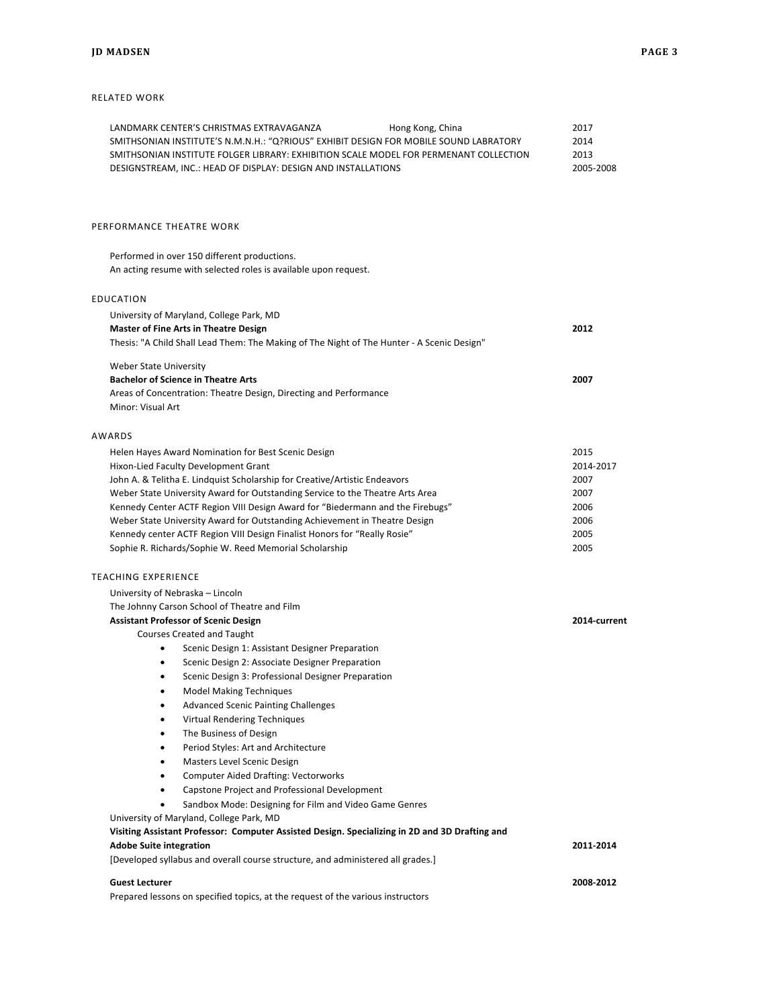### RELATED WORK

| LANDMARK CENTER'S CHRISTMAS EXTRAVAGANZA<br>Hong Kong, China<br>SMITHSONIAN INSTITUTE'S N.M.N.H.: "Q?RIOUS" EXHIBIT DESIGN FOR MOBILE SOUND LABRATORY<br>SMITHSONIAN INSTITUTE FOLGER LIBRARY: EXHIBITION SCALE MODEL FOR PERMENANT COLLECTION<br>DESIGNSTREAM, INC.: HEAD OF DISPLAY: DESIGN AND INSTALLATIONS | 2017<br>2014<br>2013<br>2005-2008 |
|-----------------------------------------------------------------------------------------------------------------------------------------------------------------------------------------------------------------------------------------------------------------------------------------------------------------|-----------------------------------|
| PERFORMANCE THEATRE WORK                                                                                                                                                                                                                                                                                        |                                   |
| Performed in over 150 different productions.<br>An acting resume with selected roles is available upon request.                                                                                                                                                                                                 |                                   |
| EDUCATION                                                                                                                                                                                                                                                                                                       |                                   |
| University of Maryland, College Park, MD                                                                                                                                                                                                                                                                        |                                   |
| <b>Master of Fine Arts in Theatre Design</b>                                                                                                                                                                                                                                                                    | 2012                              |
| Thesis: "A Child Shall Lead Them: The Making of The Night of The Hunter - A Scenic Design"                                                                                                                                                                                                                      |                                   |
| Weber State University                                                                                                                                                                                                                                                                                          |                                   |
| <b>Bachelor of Science in Theatre Arts</b>                                                                                                                                                                                                                                                                      | 2007                              |
| Areas of Concentration: Theatre Design, Directing and Performance                                                                                                                                                                                                                                               |                                   |
| Minor: Visual Art                                                                                                                                                                                                                                                                                               |                                   |
| AWARDS                                                                                                                                                                                                                                                                                                          |                                   |
| Helen Hayes Award Nomination for Best Scenic Design                                                                                                                                                                                                                                                             | 2015                              |
| Hixon-Lied Faculty Development Grant                                                                                                                                                                                                                                                                            | 2014-2017                         |
| John A. & Telitha E. Lindquist Scholarship for Creative/Artistic Endeavors                                                                                                                                                                                                                                      | 2007                              |
| Weber State University Award for Outstanding Service to the Theatre Arts Area                                                                                                                                                                                                                                   | 2007                              |
| Kennedy Center ACTF Region VIII Design Award for "Biedermann and the Firebugs"                                                                                                                                                                                                                                  | 2006                              |
| Weber State University Award for Outstanding Achievement in Theatre Design                                                                                                                                                                                                                                      | 2006                              |
| Kennedy center ACTF Region VIII Design Finalist Honors for "Really Rosie"<br>Sophie R. Richards/Sophie W. Reed Memorial Scholarship                                                                                                                                                                             | 2005<br>2005                      |
|                                                                                                                                                                                                                                                                                                                 |                                   |
| <b>TEACHING EXPERIENCE</b>                                                                                                                                                                                                                                                                                      |                                   |
| University of Nebraska - Lincoln                                                                                                                                                                                                                                                                                |                                   |
| The Johnny Carson School of Theatre and Film                                                                                                                                                                                                                                                                    |                                   |
| <b>Assistant Professor of Scenic Design</b>                                                                                                                                                                                                                                                                     | 2014-current                      |
| <b>Courses Created and Taught</b><br>Scenic Design 1: Assistant Designer Preparation                                                                                                                                                                                                                            |                                   |
| Scenic Design 2: Associate Designer Preparation                                                                                                                                                                                                                                                                 |                                   |
| Scenic Design 3: Professional Designer Preparation<br>$\bullet$                                                                                                                                                                                                                                                 |                                   |
| <b>Model Making Techniques</b><br>٠                                                                                                                                                                                                                                                                             |                                   |
| <b>Advanced Scenic Painting Challenges</b>                                                                                                                                                                                                                                                                      |                                   |
| Virtual Rendering Techniques<br>٠                                                                                                                                                                                                                                                                               |                                   |
| The Business of Design<br>$\bullet$                                                                                                                                                                                                                                                                             |                                   |
| Period Styles: Art and Architecture<br>٠                                                                                                                                                                                                                                                                        |                                   |
| Masters Level Scenic Design<br>٠                                                                                                                                                                                                                                                                                |                                   |
| <b>Computer Aided Drafting: Vectorworks</b><br>$\bullet$                                                                                                                                                                                                                                                        |                                   |
| Capstone Project and Professional Development<br>$\bullet$                                                                                                                                                                                                                                                      |                                   |
| Sandbox Mode: Designing for Film and Video Game Genres<br>University of Maryland, College Park, MD                                                                                                                                                                                                              |                                   |
| Visiting Assistant Professor: Computer Assisted Design. Specializing in 2D and 3D Drafting and                                                                                                                                                                                                                  |                                   |
| <b>Adobe Suite integration</b>                                                                                                                                                                                                                                                                                  | 2011-2014                         |
| [Developed syllabus and overall course structure, and administered all grades.]                                                                                                                                                                                                                                 |                                   |
|                                                                                                                                                                                                                                                                                                                 |                                   |
| <b>Guest Lecturer</b>                                                                                                                                                                                                                                                                                           | 2008-2012                         |

Prepared lessons on specified topics, at the request of the various instructors